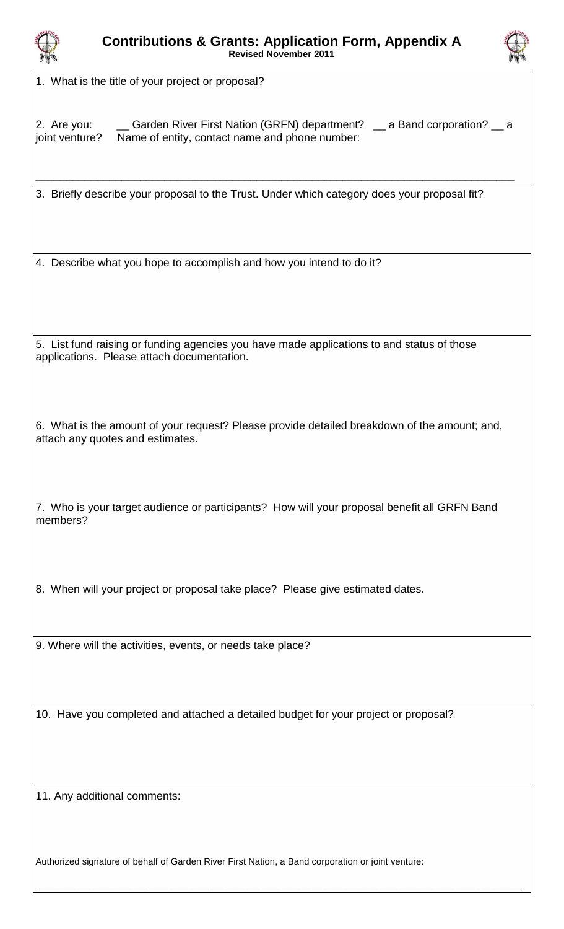



1. What is the title of your project or proposal?

2. Are you: \_\_\_\_ Garden River First Nation (GRFN) department? \_\_ a Band corporation? \_\_ a joint venture? Name of entity, contact name and phone number:

\_\_\_\_\_\_\_\_\_\_\_\_\_\_\_\_\_\_\_\_\_\_\_\_\_\_\_\_\_\_\_\_\_\_\_\_\_\_\_\_\_\_\_\_\_\_\_\_\_\_\_\_\_\_\_\_\_\_\_\_\_\_\_\_\_\_\_\_\_\_\_\_\_\_\_\_\_\_

3. Briefly describe your proposal to the Trust. Under which category does your proposal fit?

4. Describe what you hope to accomplish and how you intend to do it?

5. List fund raising or funding agencies you have made applications to and status of those applications. Please attach documentation.

6. What is the amount of your request? Please provide detailed breakdown of the amount; and, attach any quotes and estimates.

7. Who is your target audience or participants? How will your proposal benefit all GRFN Band members?

8. When will your project or proposal take place? Please give estimated dates.

9. Where will the activities, events, or needs take place?

10. Have you completed and attached a detailed budget for your project or proposal?

11. Any additional comments:

Authorized signature of behalf of Garden River First Nation, a Band corporation or joint venture:

\_\_\_\_\_\_\_\_\_\_\_\_\_\_\_\_\_\_\_\_\_\_\_\_\_\_\_\_\_\_\_\_\_\_\_\_\_\_\_\_\_\_\_\_\_\_\_\_\_\_\_\_\_\_\_\_\_\_\_\_\_\_\_\_\_\_\_\_\_\_\_\_\_\_\_\_\_\_\_\_\_\_\_\_\_\_\_\_\_\_\_\_\_\_\_